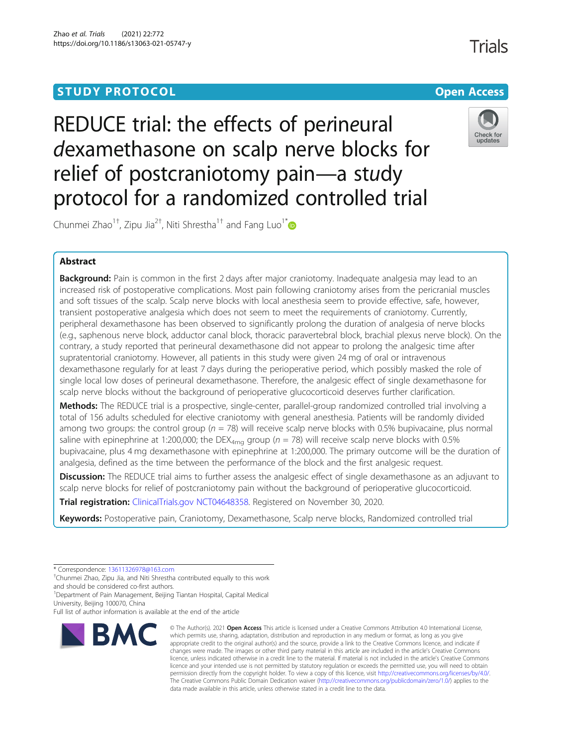# **STUDY PROTOCOL CONSUMING THE RESERVE ACCESS**

REDUCE trial: the effects of perineural dexamethasone on scalp nerve blocks for relief of postcraniotomy pain—a study protocol for a randomized controlled trial

Chunmei Zhao $^{1\dagger}$ , Zipu Jia $^{2\dagger}$ , Niti Shrestha $^{1\dagger}$  and Fang Luo $^{1^\ast}$ 

# Abstract

**Background:** Pain is common in the first 2 days after major craniotomy. Inadequate analgesia may lead to an increased risk of postoperative complications. Most pain following craniotomy arises from the pericranial muscles and soft tissues of the scalp. Scalp nerve blocks with local anesthesia seem to provide effective, safe, however, transient postoperative analgesia which does not seem to meet the requirements of craniotomy. Currently, peripheral dexamethasone has been observed to significantly prolong the duration of analgesia of nerve blocks (e.g., saphenous nerve block, adductor canal block, thoracic paravertebral block, brachial plexus nerve block). On the contrary, a study reported that perineural dexamethasone did not appear to prolong the analgesic time after supratentorial craniotomy. However, all patients in this study were given 24 mg of oral or intravenous dexamethasone regularly for at least 7 days during the perioperative period, which possibly masked the role of single local low doses of perineural dexamethasone. Therefore, the analgesic effect of single dexamethasone for scalp nerve blocks without the background of perioperative glucocorticoid deserves further clarification.

Methods: The REDUCE trial is a prospective, single-center, parallel-group randomized controlled trial involving a total of 156 adults scheduled for elective craniotomy with general anesthesia. Patients will be randomly divided among two groups: the control group ( $n = 78$ ) will receive scalp nerve blocks with 0.5% bupivacaine, plus normal saline with epinephrine at 1:200,000; the DEX<sub>4mg</sub> group ( $n = 78$ ) will receive scalp nerve blocks with 0.5% bupivacaine, plus 4 mg dexamethasone with epinephrine at 1:200,000. The primary outcome will be the duration of analgesia, defined as the time between the performance of the block and the first analgesic request.

Discussion: The REDUCE trial aims to further assess the analgesic effect of single dexamethasone as an adjuvant to scalp nerve blocks for relief of postcraniotomy pain without the background of perioperative glucocorticoid.

Trial registration: [ClinicalTrials.gov](http://clinicaltrials.gov) [NCT04648358](https://www.clinicaltrials.gov/ct2/show/NCT04648358). Registered on November 30, 2020.

Keywords: Postoperative pain, Craniotomy, Dexamethasone, Scalp nerve blocks, Randomized controlled trial

\* Correspondence: [13611326978@163.com](mailto:13611326978@163.com) †

Chunmei Zhao, Zipu Jia, and Niti Shrestha contributed equally to this work and should be considered co-first authors.

<sup>1</sup>Department of Pain Management, Beijing Tiantan Hospital, Capital Medical University, Beijing 100070, China

Full list of author information is available at the end of the article

# **BMC**



Check for updates

<sup>©</sup> The Author(s), 2021 **Open Access** This article is licensed under a Creative Commons Attribution 4.0 International License, which permits use, sharing, adaptation, distribution and reproduction in any medium or format, as long as you give appropriate credit to the original author(s) and the source, provide a link to the Creative Commons licence, and indicate if changes were made. The images or other third party material in this article are included in the article's Creative Commons licence, unless indicated otherwise in a credit line to the material. If material is not included in the article's Creative Commons licence and your intended use is not permitted by statutory regulation or exceeds the permitted use, you will need to obtain permission directly from the copyright holder. To view a copy of this licence, visit [http://creativecommons.org/licenses/by/4.0/.](http://creativecommons.org/licenses/by/4.0/) The Creative Commons Public Domain Dedication waiver [\(http://creativecommons.org/publicdomain/zero/1.0/](http://creativecommons.org/publicdomain/zero/1.0/)) applies to the data made available in this article, unless otherwise stated in a credit line to the data.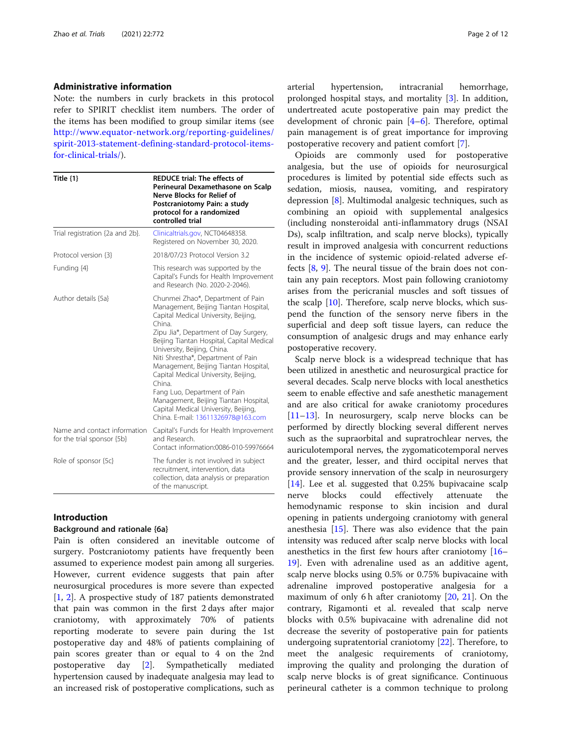#### Administrative information

Note: the numbers in curly brackets in this protocol refer to SPIRIT checklist item numbers. The order of the items has been modified to group similar items (see [http://www.equator-network.org/reporting-guidelines/](http://www.equator-network.org/reporting-guidelines/spirit-2013-statement-defining-standard-protocol-items-for-clinical-trials/) [spirit-2013-statement-defining-standard-protocol-items](http://www.equator-network.org/reporting-guidelines/spirit-2013-statement-defining-standard-protocol-items-for-clinical-trials/)[for-clinical-trials/](http://www.equator-network.org/reporting-guidelines/spirit-2013-statement-defining-standard-protocol-items-for-clinical-trials/)).

| Title $\{1\}$                                              | <b>REDUCE trial: The effects of</b><br>Perineural Dexamethasone on Scalp<br><b>Nerve Blocks for Relief of</b><br>Postcraniotomy Pain: a study<br>protocol for a randomized<br>controlled trial                                                                                                                                                                                                                                                                                                                                            |  |  |  |  |  |  |  |
|------------------------------------------------------------|-------------------------------------------------------------------------------------------------------------------------------------------------------------------------------------------------------------------------------------------------------------------------------------------------------------------------------------------------------------------------------------------------------------------------------------------------------------------------------------------------------------------------------------------|--|--|--|--|--|--|--|
| Trial registration {2a and 2b}.                            | Clinicaltrials.gov, NCT04648358.<br>Registered on November 30, 2020.                                                                                                                                                                                                                                                                                                                                                                                                                                                                      |  |  |  |  |  |  |  |
| Protocol version {3}                                       | 2018/07/23 Protocol Version 3.2                                                                                                                                                                                                                                                                                                                                                                                                                                                                                                           |  |  |  |  |  |  |  |
| Funding {4}                                                | This research was supported by the<br>Capital's Funds for Health Improvement<br>and Research (No. 2020-2-2046).                                                                                                                                                                                                                                                                                                                                                                                                                           |  |  |  |  |  |  |  |
| Author details {5a}                                        | Chunmei Zhao*, Department of Pain<br>Management, Beijing Tiantan Hospital,<br>Capital Medical University, Beijing,<br>China.<br>Zipu Jia*, Department of Day Surgery,<br>Beijing Tiantan Hospital, Capital Medical<br>University, Beijing, China.<br>Niti Shrestha*, Department of Pain<br>Management, Beijing Tiantan Hospital,<br>Capital Medical University, Beijing,<br>China.<br>Fang Luo, Department of Pain<br>Management, Beijing Tiantan Hospital,<br>Capital Medical University, Beijing,<br>China, E-mail: 13611326978@163.com |  |  |  |  |  |  |  |
| Name and contact information<br>for the trial sponsor {5b} | Capital's Funds for Health Improvement<br>and Research.<br>Contact information:0086-010-59976664                                                                                                                                                                                                                                                                                                                                                                                                                                          |  |  |  |  |  |  |  |
| Role of sponsor {5c}                                       | The funder is not involved in subject<br>recruitment, intervention, data<br>collection, data analysis or preparation<br>of the manuscript.                                                                                                                                                                                                                                                                                                                                                                                                |  |  |  |  |  |  |  |

# Introduction

# Background and rationale {6a}

Pain is often considered an inevitable outcome of surgery. Postcraniotomy patients have frequently been assumed to experience modest pain among all surgeries. However, current evidence suggests that pain after neurosurgical procedures is more severe than expected [[1,](#page-10-0) [2](#page-10-0)]. A prospective study of 187 patients demonstrated that pain was common in the first 2 days after major craniotomy, with approximately 70% of patients reporting moderate to severe pain during the 1st postoperative day and 48% of patients complaining of pain scores greater than or equal to 4 on the 2nd postoperative day [[2\]](#page-10-0). Sympathetically mediated hypertension caused by inadequate analgesia may lead to an increased risk of postoperative complications, such as

arterial hypertension, intracranial hemorrhage, prolonged hospital stays, and mortality [[3\]](#page-10-0). In addition, undertreated acute postoperative pain may predict the development of chronic pain [[4](#page-10-0)–[6\]](#page-10-0). Therefore, optimal pain management is of great importance for improving postoperative recovery and patient comfort [[7\]](#page-10-0).

Opioids are commonly used for postoperative analgesia, but the use of opioids for neurosurgical procedures is limited by potential side effects such as sedation, miosis, nausea, vomiting, and respiratory depression [[8\]](#page-10-0). Multimodal analgesic techniques, such as combining an opioid with supplemental analgesics (including nonsteroidal anti-inflammatory drugs (NSAI Ds), scalp infiltration, and scalp nerve blocks), typically result in improved analgesia with concurrent reductions in the incidence of systemic opioid-related adverse effects [[8,](#page-10-0) [9](#page-10-0)]. The neural tissue of the brain does not contain any pain receptors. Most pain following craniotomy arises from the pericranial muscles and soft tissues of the scalp  $[10]$ . Therefore, scalp nerve blocks, which suspend the function of the sensory nerve fibers in the superficial and deep soft tissue layers, can reduce the consumption of analgesic drugs and may enhance early postoperative recovery.

Scalp nerve block is a widespread technique that has been utilized in anesthetic and neurosurgical practice for several decades. Scalp nerve blocks with local anesthetics seem to enable effective and safe anesthetic management and are also critical for awake craniotomy procedures [[11](#page-10-0)–[13](#page-10-0)]. In neurosurgery, scalp nerve blocks can be performed by directly blocking several different nerves such as the supraorbital and supratrochlear nerves, the auriculotemporal nerves, the zygomaticotemporal nerves and the greater, lesser, and third occipital nerves that provide sensory innervation of the scalp in neurosurgery [[14\]](#page-10-0). Lee et al. suggested that 0.25% bupivacaine scalp nerve blocks could effectively attenuate the hemodynamic response to skin incision and dural opening in patients undergoing craniotomy with general anesthesia [\[15\]](#page-10-0). There was also evidence that the pain intensity was reduced after scalp nerve blocks with local anesthetics in the first few hours after craniotomy [[16](#page-10-0)– [19\]](#page-10-0). Even with adrenaline used as an additive agent, scalp nerve blocks using 0.5% or 0.75% bupivacaine with adrenaline improved postoperative analgesia for a maximum of only 6 h after craniotomy [\[20](#page-10-0), [21\]](#page-10-0). On the contrary, Rigamonti et al. revealed that scalp nerve blocks with 0.5% bupivacaine with adrenaline did not decrease the severity of postoperative pain for patients undergoing supratentorial craniotomy [[22](#page-10-0)]. Therefore, to meet the analgesic requirements of craniotomy, improving the quality and prolonging the duration of scalp nerve blocks is of great significance. Continuous perineural catheter is a common technique to prolong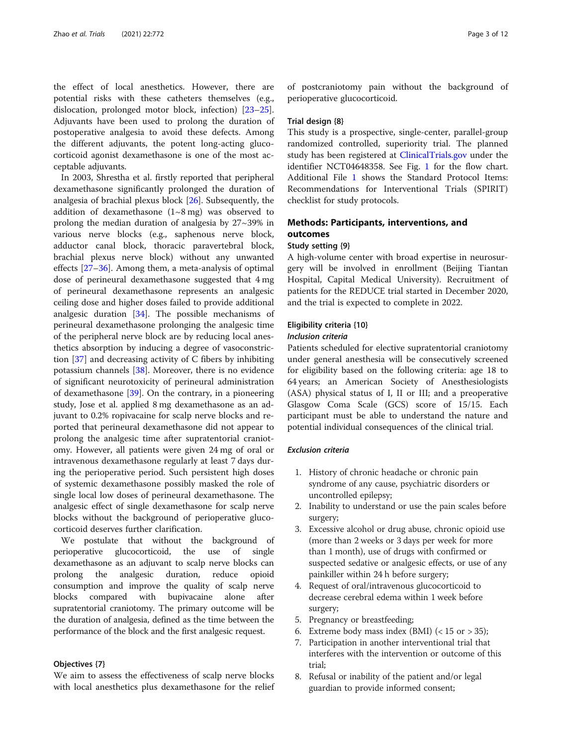the effect of local anesthetics. However, there are potential risks with these catheters themselves (e.g., dislocation, prolonged motor block, infection) [[23](#page-10-0)–[25](#page-10-0)]. Adjuvants have been used to prolong the duration of postoperative analgesia to avoid these defects. Among the different adjuvants, the potent long-acting glucocorticoid agonist dexamethasone is one of the most acceptable adjuvants.

In 2003, Shrestha et al. firstly reported that peripheral dexamethasone significantly prolonged the duration of analgesia of brachial plexus block [\[26](#page-10-0)]. Subsequently, the addition of dexamethasone  $(1~8~mg)$  was observed to prolong the median duration of analgesia by 27~39% in various nerve blocks (e.g., saphenous nerve block, adductor canal block, thoracic paravertebral block, brachial plexus nerve block) without any unwanted effects [[27](#page-10-0)–[36](#page-11-0)]. Among them, a meta-analysis of optimal dose of perineural dexamethasone suggested that 4 mg of perineural dexamethasone represents an analgesic ceiling dose and higher doses failed to provide additional analgesic duration [[34](#page-11-0)]. The possible mechanisms of perineural dexamethasone prolonging the analgesic time of the peripheral nerve block are by reducing local anesthetics absorption by inducing a degree of vasoconstriction [\[37](#page-11-0)] and decreasing activity of C fibers by inhibiting potassium channels [[38](#page-11-0)]. Moreover, there is no evidence of significant neurotoxicity of perineural administration of dexamethasone [\[39](#page-11-0)]. On the contrary, in a pioneering study, Jose et al. applied 8 mg dexamethasone as an adjuvant to 0.2% ropivacaine for scalp nerve blocks and reported that perineural dexamethasone did not appear to prolong the analgesic time after supratentorial craniotomy. However, all patients were given 24 mg of oral or intravenous dexamethasone regularly at least 7 days during the perioperative period. Such persistent high doses of systemic dexamethasone possibly masked the role of single local low doses of perineural dexamethasone. The analgesic effect of single dexamethasone for scalp nerve blocks without the background of perioperative glucocorticoid deserves further clarification.

We postulate that without the background of perioperative glucocorticoid, the use of single dexamethasone as an adjuvant to scalp nerve blocks can prolong the analgesic duration, reduce opioid consumption and improve the quality of scalp nerve blocks compared with bupivacaine alone after supratentorial craniotomy. The primary outcome will be the duration of analgesia, defined as the time between the performance of the block and the first analgesic request.

#### Objectives {7}

We aim to assess the effectiveness of scalp nerve blocks with local anesthetics plus dexamethasone for the relief

of postcraniotomy pain without the background of perioperative glucocorticoid.

#### Trial design {8}

This study is a prospective, single-center, parallel-group randomized controlled, superiority trial. The planned study has been registered at [ClinicalTrials.gov](http://clinicaltrials.gov) under the identifier NCT04648358. See Fig. [1](#page-3-0) for the flow chart. Additional File [1](#page-9-0) shows the Standard Protocol Items: Recommendations for Interventional Trials (SPIRIT) checklist for study protocols.

# Methods: Participants, interventions, and outcomes

#### Study setting {9}

A high-volume center with broad expertise in neurosurgery will be involved in enrollment (Beijing Tiantan Hospital, Capital Medical University). Recruitment of patients for the REDUCE trial started in December 2020, and the trial is expected to complete in 2022.

# Eligibility criteria {10}

#### Inclusion criteria

Patients scheduled for elective supratentorial craniotomy under general anesthesia will be consecutively screened for eligibility based on the following criteria: age 18 to 64 years; an American Society of Anesthesiologists (ASA) physical status of I, II or III; and a preoperative Glasgow Coma Scale (GCS) score of 15/15. Each participant must be able to understand the nature and potential individual consequences of the clinical trial.

#### Exclusion criteria

- 1. History of chronic headache or chronic pain syndrome of any cause, psychiatric disorders or uncontrolled epilepsy;
- 2. Inability to understand or use the pain scales before surgery;
- 3. Excessive alcohol or drug abuse, chronic opioid use (more than 2 weeks or 3 days per week for more than 1 month), use of drugs with confirmed or suspected sedative or analgesic effects, or use of any painkiller within 24 h before surgery;
- 4. Request of oral/intravenous glucocorticoid to decrease cerebral edema within 1 week before surgery;
- 5. Pregnancy or breastfeeding;
- 6. Extreme body mass index (BMI)  $(< 15 \text{ or } > 35)$ ;
- 7. Participation in another interventional trial that interferes with the intervention or outcome of this trial;
- 8. Refusal or inability of the patient and/or legal guardian to provide informed consent;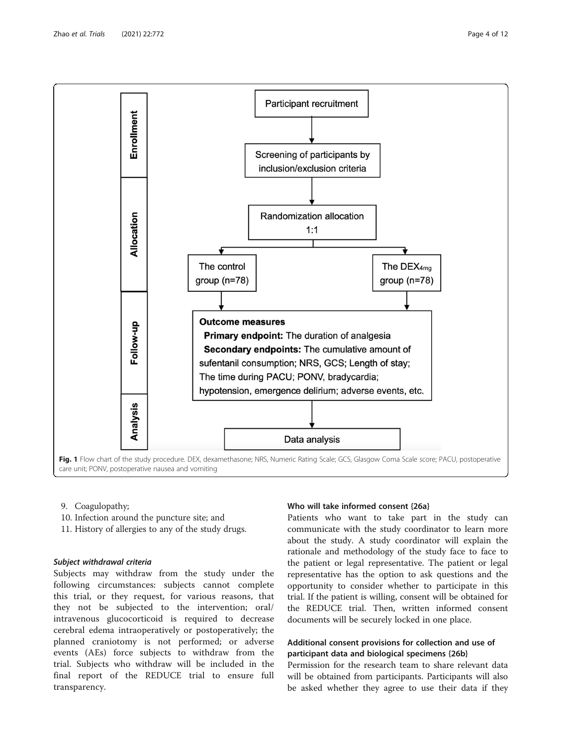<span id="page-3-0"></span>

- 9. Coagulopathy;
- 10. Infection around the puncture site; and
- 11. History of allergies to any of the study drugs.

# Subject withdrawal criteria

Subjects may withdraw from the study under the following circumstances: subjects cannot complete this trial, or they request, for various reasons, that they not be subjected to the intervention; oral/ intravenous glucocorticoid is required to decrease cerebral edema intraoperatively or postoperatively; the planned craniotomy is not performed; or adverse events (AEs) force subjects to withdraw from the trial. Subjects who withdraw will be included in the final report of the REDUCE trial to ensure full transparency.

# Who will take informed consent {26a}

Patients who want to take part in the study can communicate with the study coordinator to learn more about the study. A study coordinator will explain the rationale and methodology of the study face to face to the patient or legal representative. The patient or legal representative has the option to ask questions and the opportunity to consider whether to participate in this trial. If the patient is willing, consent will be obtained for the REDUCE trial. Then, written informed consent documents will be securely locked in one place.

# Additional consent provisions for collection and use of participant data and biological specimens {26b}

Permission for the research team to share relevant data will be obtained from participants. Participants will also be asked whether they agree to use their data if they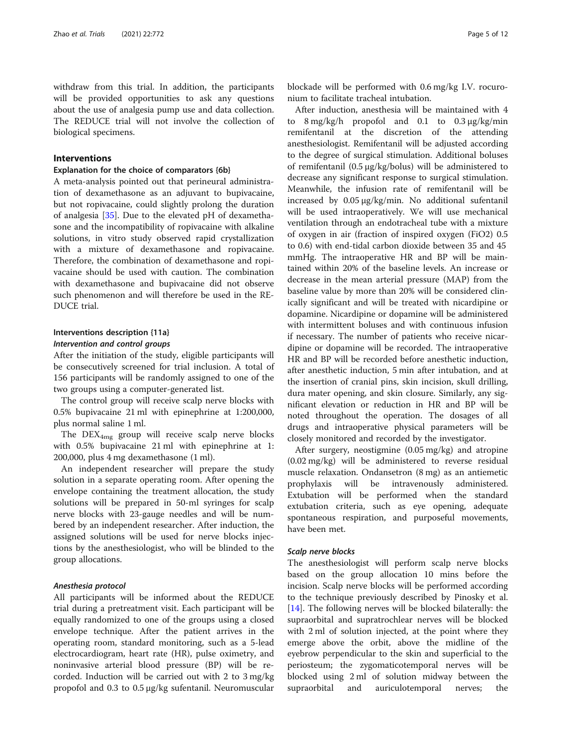withdraw from this trial. In addition, the participants will be provided opportunities to ask any questions about the use of analgesia pump use and data collection. The REDUCE trial will not involve the collection of biological specimens.

# Interventions

#### Explanation for the choice of comparators {6b}

A meta-analysis pointed out that perineural administration of dexamethasone as an adjuvant to bupivacaine, but not ropivacaine, could slightly prolong the duration of analgesia [\[35](#page-11-0)]. Due to the elevated pH of dexamethasone and the incompatibility of ropivacaine with alkaline solutions, in vitro study observed rapid crystallization with a mixture of dexamethasone and ropivacaine. Therefore, the combination of dexamethasone and ropivacaine should be used with caution. The combination with dexamethasone and bupivacaine did not observe such phenomenon and will therefore be used in the RE-DUCE trial.

# Interventions description {11a}

# Intervention and control groups

After the initiation of the study, eligible participants will be consecutively screened for trial inclusion. A total of 156 participants will be randomly assigned to one of the two groups using a computer-generated list.

The control group will receive scalp nerve blocks with 0.5% bupivacaine 21 ml with epinephrine at 1:200,000, plus normal saline 1 ml.

The  $DEX_{4mg}$  group will receive scalp nerve blocks with 0.5% bupivacaine 21 ml with epinephrine at 1: 200,000, plus 4 mg dexamethasone (1 ml).

An independent researcher will prepare the study solution in a separate operating room. After opening the envelope containing the treatment allocation, the study solutions will be prepared in 50-ml syringes for scalp nerve blocks with 23-gauge needles and will be numbered by an independent researcher. After induction, the assigned solutions will be used for nerve blocks injections by the anesthesiologist, who will be blinded to the group allocations.

## Anesthesia protocol

All participants will be informed about the REDUCE trial during a pretreatment visit. Each participant will be equally randomized to one of the groups using a closed envelope technique. After the patient arrives in the operating room, standard monitoring, such as a 5-lead electrocardiogram, heart rate (HR), pulse oximetry, and noninvasive arterial blood pressure (BP) will be recorded. Induction will be carried out with 2 to 3 mg/kg propofol and 0.3 to 0.5 μg/kg sufentanil. Neuromuscular

blockade will be performed with 0.6 mg/kg I.V. rocuronium to facilitate tracheal intubation.

After induction, anesthesia will be maintained with 4 to 8 mg/kg/h propofol and 0.1 to 0.3 μg/kg/min remifentanil at the discretion of the attending anesthesiologist. Remifentanil will be adjusted according to the degree of surgical stimulation. Additional boluses of remifentanil (0.5 μg/kg/bolus) will be administered to decrease any significant response to surgical stimulation. Meanwhile, the infusion rate of remifentanil will be increased by 0.05 μg/kg/min. No additional sufentanil will be used intraoperatively. We will use mechanical ventilation through an endotracheal tube with a mixture of oxygen in air (fraction of inspired oxygen (FiO2) 0.5 to 0.6) with end-tidal carbon dioxide between 35 and 45 mmHg. The intraoperative HR and BP will be maintained within 20% of the baseline levels. An increase or decrease in the mean arterial pressure (MAP) from the baseline value by more than 20% will be considered clinically significant and will be treated with nicardipine or dopamine. Nicardipine or dopamine will be administered with intermittent boluses and with continuous infusion if necessary. The number of patients who receive nicardipine or dopamine will be recorded. The intraoperative HR and BP will be recorded before anesthetic induction, after anesthetic induction, 5 min after intubation, and at the insertion of cranial pins, skin incision, skull drilling, dura mater opening, and skin closure. Similarly, any significant elevation or reduction in HR and BP will be noted throughout the operation. The dosages of all drugs and intraoperative physical parameters will be closely monitored and recorded by the investigator.

After surgery, neostigmine (0.05 mg/kg) and atropine (0.02 mg/kg) will be administered to reverse residual muscle relaxation. Ondansetron (8 mg) as an antiemetic prophylaxis will be intravenously administered. Extubation will be performed when the standard extubation criteria, such as eye opening, adequate spontaneous respiration, and purposeful movements, have been met.

#### Scalp nerve blocks

The anesthesiologist will perform scalp nerve blocks based on the group allocation 10 mins before the incision. Scalp nerve blocks will be performed according to the technique previously described by Pinosky et al. [[14\]](#page-10-0). The following nerves will be blocked bilaterally: the supraorbital and supratrochlear nerves will be blocked with 2 ml of solution injected, at the point where they emerge above the orbit, above the midline of the eyebrow perpendicular to the skin and superficial to the periosteum; the zygomaticotemporal nerves will be blocked using 2 ml of solution midway between the supraorbital and auriculotemporal nerves; the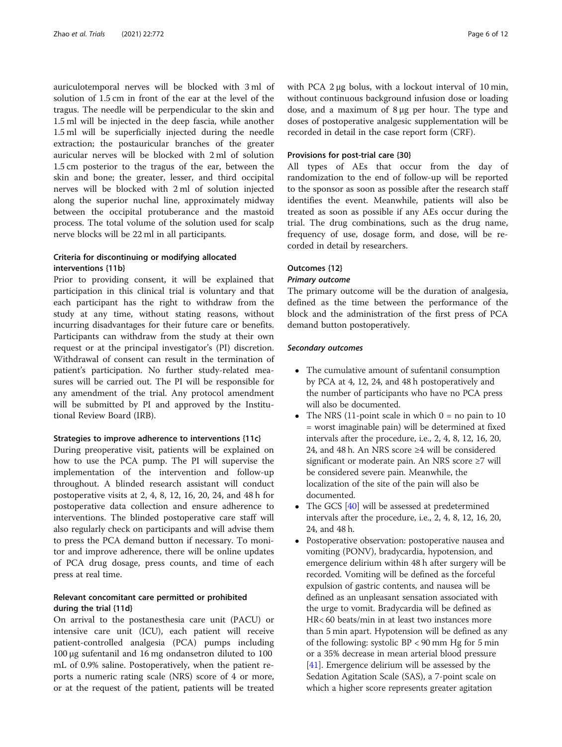auriculotemporal nerves will be blocked with 3 ml of solution of 1.5 cm in front of the ear at the level of the tragus. The needle will be perpendicular to the skin and 1.5 ml will be injected in the deep fascia, while another 1.5 ml will be superficially injected during the needle extraction; the postauricular branches of the greater auricular nerves will be blocked with 2 ml of solution 1.5 cm posterior to the tragus of the ear, between the skin and bone; the greater, lesser, and third occipital nerves will be blocked with 2 ml of solution injected along the superior nuchal line, approximately midway between the occipital protuberance and the mastoid process. The total volume of the solution used for scalp nerve blocks will be 22 ml in all participants.

# Criteria for discontinuing or modifying allocated interventions {11b}

Prior to providing consent, it will be explained that participation in this clinical trial is voluntary and that each participant has the right to withdraw from the study at any time, without stating reasons, without incurring disadvantages for their future care or benefits. Participants can withdraw from the study at their own request or at the principal investigator's (PI) discretion. Withdrawal of consent can result in the termination of patient's participation. No further study-related measures will be carried out. The PI will be responsible for any amendment of the trial. Any protocol amendment will be submitted by PI and approved by the Institutional Review Board (IRB).

#### Strategies to improve adherence to interventions {11c}

During preoperative visit, patients will be explained on how to use the PCA pump. The PI will supervise the implementation of the intervention and follow-up throughout. A blinded research assistant will conduct postoperative visits at 2, 4, 8, 12, 16, 20, 24, and 48 h for postoperative data collection and ensure adherence to interventions. The blinded postoperative care staff will also regularly check on participants and will advise them to press the PCA demand button if necessary. To monitor and improve adherence, there will be online updates of PCA drug dosage, press counts, and time of each press at real time.

# Relevant concomitant care permitted or prohibited during the trial {11d}

On arrival to the postanesthesia care unit (PACU) or intensive care unit (ICU), each patient will receive patient-controlled analgesia (PCA) pumps including 100 μg sufentanil and 16 mg ondansetron diluted to 100 mL of 0.9% saline. Postoperatively, when the patient reports a numeric rating scale (NRS) score of 4 or more, or at the request of the patient, patients will be treated with PCA 2 μg bolus, with a lockout interval of 10 min, without continuous background infusion dose or loading dose, and a maximum of 8 μg per hour. The type and doses of postoperative analgesic supplementation will be recorded in detail in the case report form (CRF).

#### Provisions for post-trial care {30}

All types of AEs that occur from the day of randomization to the end of follow-up will be reported to the sponsor as soon as possible after the research staff identifies the event. Meanwhile, patients will also be treated as soon as possible if any AEs occur during the trial. The drug combinations, such as the drug name, frequency of use, dosage form, and dose, will be recorded in detail by researchers.

# Outcomes {12}

#### Primary outcome

The primary outcome will be the duration of analgesia, defined as the time between the performance of the block and the administration of the first press of PCA demand button postoperatively.

#### Secondary outcomes

- The cumulative amount of sufentanil consumption by PCA at 4, 12, 24, and 48 h postoperatively and the number of participants who have no PCA press will also be documented.
- The NRS (11-point scale in which  $0 =$  no pain to 10 = worst imaginable pain) will be determined at fixed intervals after the procedure, i.e., 2, 4, 8, 12, 16, 20, 24, and 48 h. An NRS score ≥4 will be considered significant or moderate pain. An NRS score ≥7 will be considered severe pain. Meanwhile, the localization of the site of the pain will also be documented.
- The GCS [[40](#page-11-0)] will be assessed at predetermined intervals after the procedure, i.e., 2, 4, 8, 12, 16, 20, 24, and 48 h.
- Postoperative observation: postoperative nausea and vomiting (PONV), bradycardia, hypotension, and emergence delirium within 48 h after surgery will be recorded. Vomiting will be defined as the forceful expulsion of gastric contents, and nausea will be defined as an unpleasant sensation associated with the urge to vomit. Bradycardia will be defined as HR< 60 beats/min in at least two instances more than 5 min apart. Hypotension will be defined as any of the following: systolic BP < 90 mm Hg for 5 min or a 35% decrease in mean arterial blood pressure [[41](#page-11-0)]. Emergence delirium will be assessed by the Sedation Agitation Scale (SAS), a 7-point scale on which a higher score represents greater agitation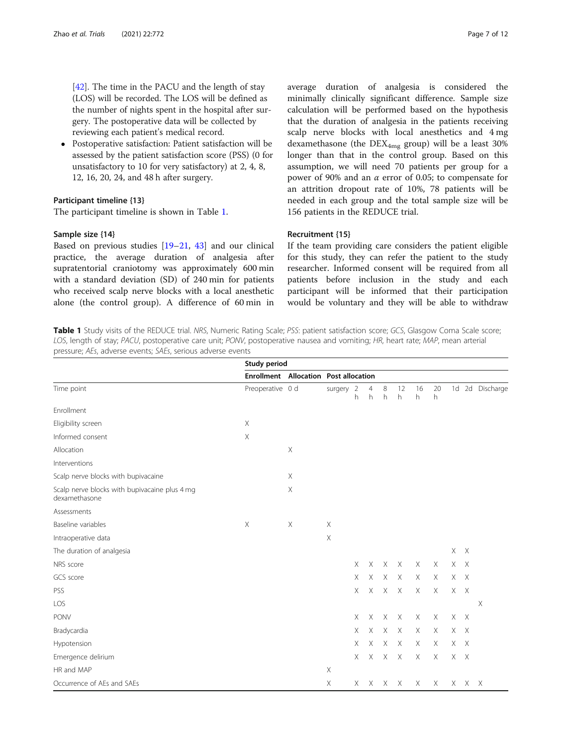[[42](#page-11-0)]. The time in the PACU and the length of stay (LOS) will be recorded. The LOS will be defined as the number of nights spent in the hospital after surgery. The postoperative data will be collected by reviewing each patient's medical record.

 Postoperative satisfaction: Patient satisfaction will be assessed by the patient satisfaction score (PSS) (0 for unsatisfactory to 10 for very satisfactory) at 2, 4, 8, 12, 16, 20, 24, and 48 h after surgery.

#### Participant timeline {13}

The participant timeline is shown in Table 1.

#### Sample size {14}

Based on previous studies [\[19](#page-10-0)–[21,](#page-10-0) [43](#page-11-0)] and our clinical practice, the average duration of analgesia after supratentorial craniotomy was approximately 600 min with a standard deviation (SD) of 240 min for patients who received scalp nerve blocks with a local anesthetic alone (the control group). A difference of 60 min in

average duration of analgesia is considered the minimally clinically significant difference. Sample size calculation will be performed based on the hypothesis that the duration of analgesia in the patients receiving scalp nerve blocks with local anesthetics and 4 mg dexamethasone (the  $DEX_{4mg}$  group) will be a least 30% longer than that in the control group. Based on this assumption, we will need 70 patients per group for a power of 90% and an  $\alpha$  error of 0.05; to compensate for an attrition dropout rate of 10%, 78 patients will be needed in each group and the total sample size will be 156 patients in the REDUCE trial.

#### Recruitment {15}

If the team providing care considers the patient eligible for this study, they can refer the patient to the study researcher. Informed consent will be required from all patients before inclusion in the study and each participant will be informed that their participation would be voluntary and they will be able to withdraw

Table 1 Study visits of the REDUCE trial. NRS, Numeric Rating Scale; PSS: patient satisfaction score; GCS, Glasgow Coma Scale score; LOS, length of stay; PACU, postoperative care unit; PONV, postoperative nausea and vomiting; HR, heart rate; MAP, mean arterial pressure; AEs, adverse events; SAEs, serious adverse events

|                                                                |                  | Study period              |                                              |          |                     |                 |              |          |          |         |       |                 |  |
|----------------------------------------------------------------|------------------|---------------------------|----------------------------------------------|----------|---------------------|-----------------|--------------|----------|----------|---------|-------|-----------------|--|
| Time point                                                     |                  |                           | <b>Enrollment</b> Allocation Post allocation |          |                     |                 |              |          |          |         |       |                 |  |
|                                                                | Preoperative 0 d |                           | surgery 2                                    | h        | $\overline{4}$<br>h | 8<br>h          | 12<br>h      | 16<br>h  | 20<br>h  |         |       | 1d 2d Discharge |  |
| Enrollment                                                     |                  |                           |                                              |          |                     |                 |              |          |          |         |       |                 |  |
| Eligibility screen                                             | X                |                           |                                              |          |                     |                 |              |          |          |         |       |                 |  |
| Informed consent                                               | X                |                           |                                              |          |                     |                 |              |          |          |         |       |                 |  |
| Allocation                                                     |                  | Χ                         |                                              |          |                     |                 |              |          |          |         |       |                 |  |
| Interventions                                                  |                  |                           |                                              |          |                     |                 |              |          |          |         |       |                 |  |
| Scalp nerve blocks with bupivacaine                            |                  | X                         |                                              |          |                     |                 |              |          |          |         |       |                 |  |
| Scalp nerve blocks with bupivacaine plus 4 mg<br>dexamethasone |                  | X                         |                                              |          |                     |                 |              |          |          |         |       |                 |  |
| Assessments                                                    |                  |                           |                                              |          |                     |                 |              |          |          |         |       |                 |  |
| Baseline variables                                             | $\mathsf X$      | $\boldsymbol{\mathsf{X}}$ | $\times$                                     |          |                     |                 |              |          |          |         |       |                 |  |
| Intraoperative data                                            |                  |                           | $\mathsf X$                                  |          |                     |                 |              |          |          |         |       |                 |  |
| The duration of analgesia                                      |                  |                           |                                              |          |                     |                 |              |          |          | $X$ $X$ |       |                 |  |
| NRS score                                                      |                  |                           |                                              | $\times$ | $\times$            | $\times$        | $\times$     | $\times$ | $\times$ | X X     |       |                 |  |
| GCS score                                                      |                  |                           |                                              | $\times$ | $\times$            | $\times$        | $\times$     | X        | Χ        | X X     |       |                 |  |
| PSS                                                            |                  |                           |                                              | $\times$ | $\times$            | $\times$        | $\times$     | $\times$ | $\times$ | X X     |       |                 |  |
| LOS                                                            |                  |                           |                                              |          |                     |                 |              |          |          |         |       | $\times$        |  |
| <b>PONV</b>                                                    |                  |                           |                                              | X        | $\times$            | $\times$        | $\times$     | $\times$ | X        | X X     |       |                 |  |
| Bradycardia                                                    |                  |                           |                                              | $\times$ | $\times$            | $\times$        | $\times$     | Χ        | Χ        | X X     |       |                 |  |
| Hypotension                                                    |                  |                           |                                              | $\times$ | $\times$            | $\times$        | $\times$     | X        | $\times$ | X X     |       |                 |  |
| Emergence delirium                                             |                  |                           |                                              | $\times$ | $X -$               | $\times$        | $\mathsf{X}$ | X        | X        | X X     |       |                 |  |
| HR and MAP                                                     |                  |                           | $\times$                                     |          |                     |                 |              |          |          |         |       |                 |  |
| Occurrence of AEs and SAEs                                     |                  |                           | $\times$                                     |          |                     | $X$ $X$ $X$ $X$ |              | X        | Χ        |         | X X X |                 |  |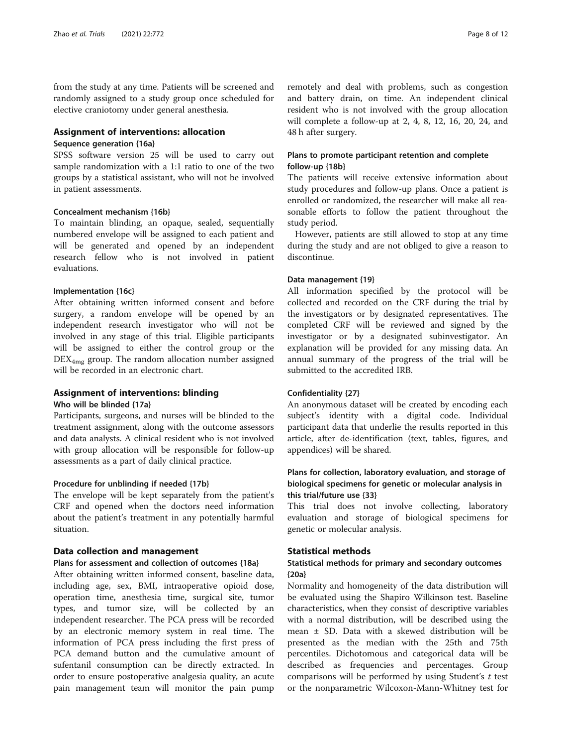from the study at any time. Patients will be screened and randomly assigned to a study group once scheduled for elective craniotomy under general anesthesia.

# Assignment of interventions: allocation

#### Sequence generation {16a}

SPSS software version 25 will be used to carry out sample randomization with a 1:1 ratio to one of the two groups by a statistical assistant, who will not be involved in patient assessments.

# Concealment mechanism {16b}

To maintain blinding, an opaque, sealed, sequentially numbered envelope will be assigned to each patient and will be generated and opened by an independent research fellow who is not involved in patient evaluations.

#### Implementation {16c}

After obtaining written informed consent and before surgery, a random envelope will be opened by an independent research investigator who will not be involved in any stage of this trial. Eligible participants will be assigned to either the control group or the  $\n *DEX<sub>4mg</sub>*$  group. The random allocation number assigned will be recorded in an electronic chart.

# Assignment of interventions: blinding

Who will be blinded {17a}

Participants, surgeons, and nurses will be blinded to the treatment assignment, along with the outcome assessors and data analysts. A clinical resident who is not involved with group allocation will be responsible for follow-up assessments as a part of daily clinical practice.

#### Procedure for unblinding if needed {17b}

The envelope will be kept separately from the patient's CRF and opened when the doctors need information about the patient's treatment in any potentially harmful situation.

#### Data collection and management

#### Plans for assessment and collection of outcomes {18a}

After obtaining written informed consent, baseline data, including age, sex, BMI, intraoperative opioid dose, operation time, anesthesia time, surgical site, tumor types, and tumor size, will be collected by an independent researcher. The PCA press will be recorded by an electronic memory system in real time. The information of PCA press including the first press of PCA demand button and the cumulative amount of sufentanil consumption can be directly extracted. In order to ensure postoperative analgesia quality, an acute pain management team will monitor the pain pump

remotely and deal with problems, such as congestion and battery drain, on time. An independent clinical resident who is not involved with the group allocation will complete a follow-up at 2, 4, 8, 12, 16, 20, 24, and 48 h after surgery.

# Plans to promote participant retention and complete follow-up {18b}

The patients will receive extensive information about study procedures and follow-up plans. Once a patient is enrolled or randomized, the researcher will make all reasonable efforts to follow the patient throughout the study period.

However, patients are still allowed to stop at any time during the study and are not obliged to give a reason to discontinue.

#### Data management {19}

All information specified by the protocol will be collected and recorded on the CRF during the trial by the investigators or by designated representatives. The completed CRF will be reviewed and signed by the investigator or by a designated subinvestigator. An explanation will be provided for any missing data. An annual summary of the progress of the trial will be submitted to the accredited IRB.

#### Confidentiality {27}

An anonymous dataset will be created by encoding each subject's identity with a digital code. Individual participant data that underlie the results reported in this article, after de-identification (text, tables, figures, and appendices) will be shared.

# Plans for collection, laboratory evaluation, and storage of biological specimens for genetic or molecular analysis in this trial/future use {33}

This trial does not involve collecting, laboratory evaluation and storage of biological specimens for genetic or molecular analysis.

# Statistical methods

# Statistical methods for primary and secondary outcomes {20a}

Normality and homogeneity of the data distribution will be evaluated using the Shapiro Wilkinson test. Baseline characteristics, when they consist of descriptive variables with a normal distribution, will be described using the mean ± SD. Data with a skewed distribution will be presented as the median with the 25th and 75th percentiles. Dichotomous and categorical data will be described as frequencies and percentages. Group comparisons will be performed by using Student's t test or the nonparametric Wilcoxon-Mann-Whitney test for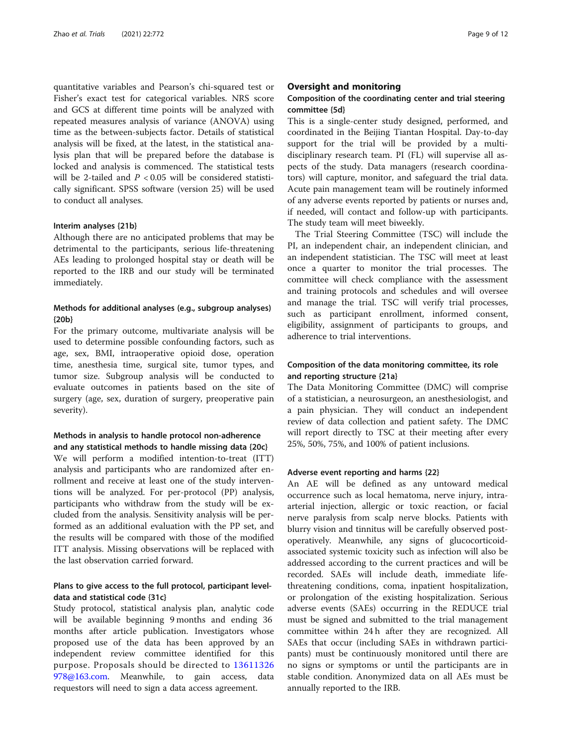quantitative variables and Pearson's chi-squared test or Fisher's exact test for categorical variables. NRS score and GCS at different time points will be analyzed with repeated measures analysis of variance (ANOVA) using time as the between-subjects factor. Details of statistical analysis will be fixed, at the latest, in the statistical analysis plan that will be prepared before the database is locked and analysis is commenced. The statistical tests will be 2-tailed and  $P < 0.05$  will be considered statistically significant. SPSS software (version 25) will be used to conduct all analyses.

#### Interim analyses {21b}

Although there are no anticipated problems that may be detrimental to the participants, serious life-threatening AEs leading to prolonged hospital stay or death will be reported to the IRB and our study will be terminated immediately.

# Methods for additional analyses (e.g., subgroup analyses) {20b}

For the primary outcome, multivariate analysis will be used to determine possible confounding factors, such as age, sex, BMI, intraoperative opioid dose, operation time, anesthesia time, surgical site, tumor types, and tumor size. Subgroup analysis will be conducted to evaluate outcomes in patients based on the site of surgery (age, sex, duration of surgery, preoperative pain severity).

# Methods in analysis to handle protocol non-adherence and any statistical methods to handle missing data {20c}

We will perform a modified intention-to-treat (ITT) analysis and participants who are randomized after enrollment and receive at least one of the study interventions will be analyzed. For per-protocol (PP) analysis, participants who withdraw from the study will be excluded from the analysis. Sensitivity analysis will be performed as an additional evaluation with the PP set, and the results will be compared with those of the modified ITT analysis. Missing observations will be replaced with the last observation carried forward.

# Plans to give access to the full protocol, participant leveldata and statistical code {31c}

Study protocol, statistical analysis plan, analytic code will be available beginning 9 months and ending 36 months after article publication. Investigators whose proposed use of the data has been approved by an independent review committee identified for this purpose. Proposals should be directed to [13611326](mailto:13611326978@163.com) [978@163.com.](mailto:13611326978@163.com) Meanwhile, to gain access, data requestors will need to sign a data access agreement.

#### Oversight and monitoring

# Composition of the coordinating center and trial steering committee {5d}

This is a single-center study designed, performed, and coordinated in the Beijing Tiantan Hospital. Day-to-day support for the trial will be provided by a multidisciplinary research team. PI (FL) will supervise all aspects of the study. Data managers (research coordinators) will capture, monitor, and safeguard the trial data. Acute pain management team will be routinely informed of any adverse events reported by patients or nurses and, if needed, will contact and follow-up with participants. The study team will meet biweekly.

The Trial Steering Committee (TSC) will include the PI, an independent chair, an independent clinician, and an independent statistician. The TSC will meet at least once a quarter to monitor the trial processes. The committee will check compliance with the assessment and training protocols and schedules and will oversee and manage the trial. TSC will verify trial processes, such as participant enrollment, informed consent, eligibility, assignment of participants to groups, and adherence to trial interventions.

# Composition of the data monitoring committee, its role and reporting structure {21a}

The Data Monitoring Committee (DMC) will comprise of a statistician, a neurosurgeon, an anesthesiologist, and a pain physician. They will conduct an independent review of data collection and patient safety. The DMC will report directly to TSC at their meeting after every 25%, 50%, 75%, and 100% of patient inclusions.

#### Adverse event reporting and harms {22}

An AE will be defined as any untoward medical occurrence such as local hematoma, nerve injury, intraarterial injection, allergic or toxic reaction, or facial nerve paralysis from scalp nerve blocks. Patients with blurry vision and tinnitus will be carefully observed postoperatively. Meanwhile, any signs of glucocorticoidassociated systemic toxicity such as infection will also be addressed according to the current practices and will be recorded. SAEs will include death, immediate lifethreatening conditions, coma, inpatient hospitalization, or prolongation of the existing hospitalization. Serious adverse events (SAEs) occurring in the REDUCE trial must be signed and submitted to the trial management committee within 24 h after they are recognized. All SAEs that occur (including SAEs in withdrawn participants) must be continuously monitored until there are no signs or symptoms or until the participants are in stable condition. Anonymized data on all AEs must be annually reported to the IRB.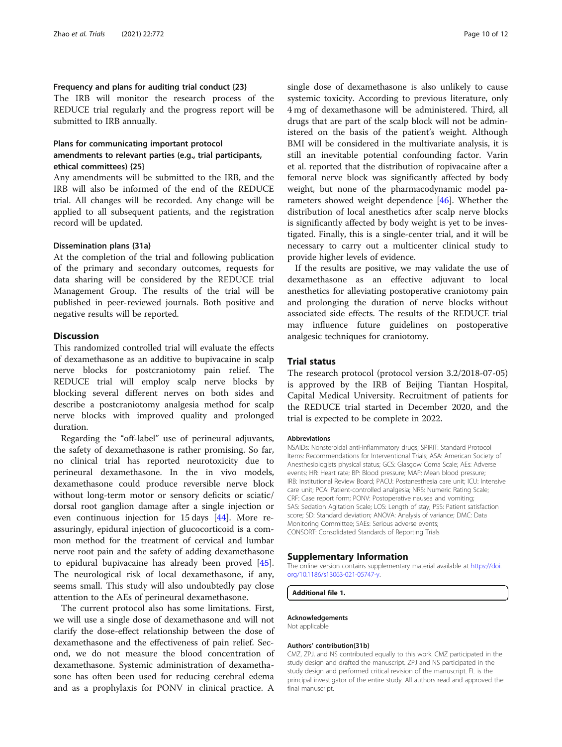# <span id="page-9-0"></span>Frequency and plans for auditing trial conduct {23}

The IRB will monitor the research process of the REDUCE trial regularly and the progress report will be submitted to IRB annually.

# Plans for communicating important protocol amendments to relevant parties (e.g., trial participants, ethical committees) {25}

Any amendments will be submitted to the IRB, and the IRB will also be informed of the end of the REDUCE trial. All changes will be recorded. Any change will be applied to all subsequent patients, and the registration record will be updated.

#### Dissemination plans {31a}

At the completion of the trial and following publication of the primary and secondary outcomes, requests for data sharing will be considered by the REDUCE trial Management Group. The results of the trial will be published in peer-reviewed journals. Both positive and negative results will be reported.

# **Discussion**

This randomized controlled trial will evaluate the effects of dexamethasone as an additive to bupivacaine in scalp nerve blocks for postcraniotomy pain relief. The REDUCE trial will employ scalp nerve blocks by blocking several different nerves on both sides and describe a postcraniotomy analgesia method for scalp nerve blocks with improved quality and prolonged duration.

Regarding the "off-label" use of perineural adjuvants, the safety of dexamethasone is rather promising. So far, no clinical trial has reported neurotoxicity due to perineural dexamethasone. In the in vivo models, dexamethasone could produce reversible nerve block without long-term motor or sensory deficits or sciatic/ dorsal root ganglion damage after a single injection or even continuous injection for 15 days [[44\]](#page-11-0). More reassuringly, epidural injection of glucocorticoid is a common method for the treatment of cervical and lumbar nerve root pain and the safety of adding dexamethasone to epidural bupivacaine has already been proved [\[45](#page-11-0)]. The neurological risk of local dexamethasone, if any, seems small. This study will also undoubtedly pay close attention to the AEs of perineural dexamethasone.

The current protocol also has some limitations. First, we will use a single dose of dexamethasone and will not clarify the dose-effect relationship between the dose of dexamethasone and the effectiveness of pain relief. Second, we do not measure the blood concentration of dexamethasone. Systemic administration of dexamethasone has often been used for reducing cerebral edema and as a prophylaxis for PONV in clinical practice. A

single dose of dexamethasone is also unlikely to cause systemic toxicity. According to previous literature, only 4 mg of dexamethasone will be administered. Third, all drugs that are part of the scalp block will not be administered on the basis of the patient's weight. Although BMI will be considered in the multivariate analysis, it is still an inevitable potential confounding factor. Varin et al. reported that the distribution of ropivacaine after a femoral nerve block was significantly affected by body weight, but none of the pharmacodynamic model parameters showed weight dependence [\[46\]](#page-11-0). Whether the distribution of local anesthetics after scalp nerve blocks is significantly affected by body weight is yet to be investigated. Finally, this is a single-center trial, and it will be necessary to carry out a multicenter clinical study to provide higher levels of evidence.

If the results are positive, we may validate the use of dexamethasone as an effective adjuvant to local anesthetics for alleviating postoperative craniotomy pain and prolonging the duration of nerve blocks without associated side effects. The results of the REDUCE trial may influence future guidelines on postoperative analgesic techniques for craniotomy.

# Trial status

The research protocol (protocol version 3.2/2018-07-05) is approved by the IRB of Beijing Tiantan Hospital, Capital Medical University. Recruitment of patients for the REDUCE trial started in December 2020, and the trial is expected to be complete in 2022.

#### Abbreviations

NSAIDs: Nonsteroidal anti-inflammatory drugs; SPIRIT: Standard Protocol Items: Recommendations for Interventional Trials; ASA: American Society of Anesthesiologists physical status; GCS: Glasgow Coma Scale; AEs: Adverse events; HR: Heart rate; BP: Blood pressure; MAP: Mean blood pressure; IRB: Institutional Review Board; PACU: Postanesthesia care unit; ICU: Intensive care unit; PCA: Patient-controlled analgesia; NRS: Numeric Rating Scale; CRF: Case report form; PONV: Postoperative nausea and vomiting; SAS: Sedation Agitation Scale; LOS: Length of stay; PSS: Patient satisfaction score; SD: Standard deviation; ANOVA: Analysis of variance; DMC: Data Monitoring Committee; SAEs: Serious adverse events; CONSORT: Consolidated Standards of Reporting Trials

#### Supplementary Information

The online version contains supplementary material available at [https://doi.](https://doi.org/10.1186/s13063-021-05747-y) [org/10.1186/s13063-021-05747-y](https://doi.org/10.1186/s13063-021-05747-y).

Additional file 1.

#### Acknowledgements

Not applicable

#### Authors' contribution{31b}

CMZ, ZPJ, and NS contributed equally to this work. CMZ participated in the study design and drafted the manuscript. ZPJ and NS participated in the study design and performed critical revision of the manuscript. FL is the principal investigator of the entire study. All authors read and approved the final manuscript.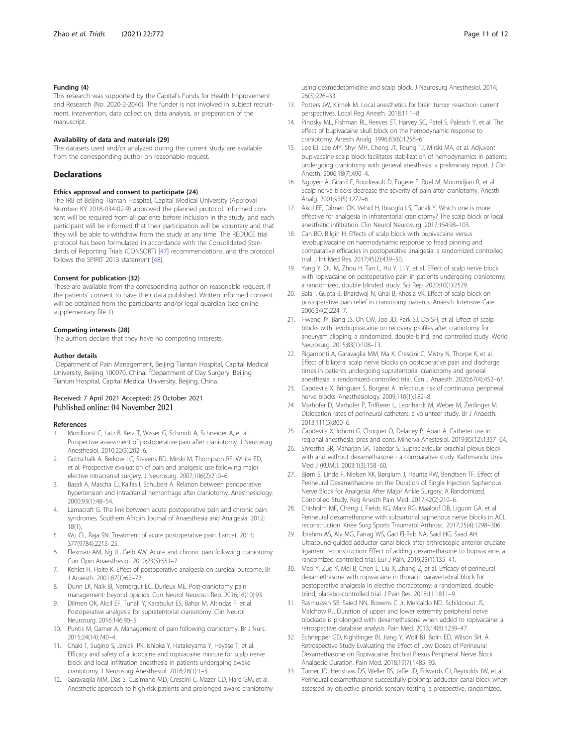#### <span id="page-10-0"></span>Funding {4}

This research was supported by the Capital's Funds for Health Improvement and Research (No. 2020-2-2046). The funder is not involved in subject recruitment, intervention, data collection, data analysis, or preparation of the manuscript.

#### Availability of data and materials {29}

The datasets used and/or analyzed during the current study are available from the corresponding author on reasonable request.

#### Declarations

#### Ethics approval and consent to participate {24}

The IRB of Beijing Tiantan Hospital, Capital Medical University (Approval Number: KY 2018-034-02-9) approved the planned protocol. Informed consent will be required from all patients before inclusion in the study, and each participant will be informed that their participation will be voluntary and that they will be able to withdraw from the study at any time. The REDUCE trial protocol has been formulated in accordance with the Consolidated Standards of Reporting Trials (CONSORT) [[47](#page-11-0)] recommendations, and the protocol follows the SPIRIT 2013 statement [\[48](#page-11-0)].

#### Consent for publication {32}

These are available from the corresponding author on reasonable request, if the patients' consent to have their data published. Written informed consent will be obtained from the participants and/or legal guardian (see online supplementary file 1).

#### Competing interests {28}

The authors declare that they have no competing interests.

#### Author details

<sup>1</sup>Department of Pain Management, Beijing Tiantan Hospital, Capital Medical University, Beijing 100070, China. <sup>2</sup>Department of Day Surgery, Beijing Tiantan Hospital, Capital Medical University, Beijing, China.

#### Received: 7 April 2021 Accepted: 25 October 2021 Published online: 04 November 2021

#### References

- Mordhorst C, Latz B, Kerz T, Wisser G, Schmidt A, Schneider A, et al. Prospective assessment of postoperative pain after craniotomy. J Neurosurg Anesthesiol. 2010;22(3):202–6.
- 2. Gottschalk A, Berkow LC, Stevens RD, Mirski M, Thompson RE, White ED, et al. Prospective evaluation of pain and analgesic use following major elective intracranial surgery. J Neurosurg. 2007;106(2):210–6.
- Basali A, Mascha EJ, Kalfas I, Schubert A. Relation between perioperative hypertension and intracranial hemorrhage after craniotomy. Anesthesiology. 2000;93(1):48–54.
- 4. Lamacraft G. The link between acute postoperative pain and chronic pain syndromes. Southern African Journal of Anaesthesia and Analgesia. 2012; 18(1).
- 5. Wu CL, Raja SN. Treatment of acute postoperative pain. Lancet. 2011; 377(9784):2215–25.
- 6. Flexman AM, Ng JL, Gelb AW. Acute and chronic pain following craniotomy. Curr Opin Anaesthesiol. 2010;23(5):551–7.
- 7. Kehlet H, Holte K. Effect of postoperative analgesia on surgical outcome. Br J Anaesth. 2001;87(1):62–72.
- 8. Dunn LK, Naik BI, Nemergut EC, Durieux ME. Post-craniotomy pain management: beyond opioids. Curr Neurol Neurosci Rep. 2016;16(10):93.
- 9. Dilmen OK, Akcil EF, Tunali Y, Karabulut ES, Bahar M, Altindas F, et al. Postoperative analgesia for supratentorial craniotomy. Clin Neurol Neurosurg. 2016;146:90–5.
- 10. Puntis M, Garner A. Management of pain following craniotomy. Br J Nurs. 2015;24(14):740–4.
- 11. Chaki T, Sugino S, Janicki PK, Ishioka Y, Hatakeyama Y, Hayase T, et al. Efficacy and safety of a lidocaine and ropivacaine mixture for scalp nerve block and local infiltration anesthesia in patients undergoing awake craniotomy. J Neurosurg Anesthesiol. 2016;28(1):1–5.
- 12. Garavaglia MM, Das S, Cusimano MD, Crescini C, Mazer CD, Hare GM, et al. Anesthetic approach to high-risk patients and prolonged awake craniotomy

using dexmedetomidine and scalp block. J Neurosurg Anesthesiol. 2014; 26(3):226–33.

- 13. Potters JW, Klimek M. Local anesthetics for brain tumor resection: current perspectives. Local Reg Anesth. 2018;11:1–8.
- 14. Pinosky ML, Fishman RL, Reeves ST, Harvey SC, Patel S, Palesch Y, et al. The effect of bupivacaine skull block on the hemodynamic response to craniotomy. Anesth Analg. 1996;83(6):1256–61.
- 15. Lee EJ, Lee MY, Shyr MH, Cheng JT, Toung TJ, Mirski MA, et al. Adjuvant bupivacaine scalp block facilitates stabilization of hemodynamics in patients undergoing craniotomy with general anesthesia: a preliminary report. J Clin Anesth. 2006;18(7):490–4.
- 16. Nguyen A, Girard F, Boudreault D, Fugere F, Ruel M, Moumdjian R, et al. Scalp nerve blocks decrease the severity of pain after craniotomy. Anesth Analg. 2001;93(5):1272–6.
- 17. Akcil EF, Dilmen OK, Vehid H, Ibisoglu LS, Tunali Y. Which one is more effective for analgesia in infratentorial craniotomy? The scalp block or local anesthetic infiltration. Clin Neurol Neurosurg. 2017;154:98–103.
- 18. Can BO, Bilgin H. Effects of scalp block with bupivacaine versus levobupivacaine on haemodynamic response to head pinning and comparative efficacies in postoperative analgesia: a randomized controlled trial. J Int Med Res. 2017;45(2):439–50.
- 19. Yang Y, Ou M, Zhou H, Tan L, Hu Y, Li Y, et al. Effect of scalp nerve block with ropivacaine on postoperative pain in patients undergoing craniotomy: a randomized, double blinded study. Sci Rep. 2020;10(1):2529.
- 20. Bala I, Gupta B, Bhardwaj N, Ghai B, Khosla VK. Effect of scalp block on postoperative pain relief in craniotomy patients. Anaesth Intensive Care. 2006;34(2):224–7.
- 21. Hwang JY, Bang JS, Oh CW, Joo JD, Park SJ, Do SH, et al. Effect of scalp blocks with levobupivacaine on recovery profiles after craniotomy for aneurysm clipping: a randomized, double-blind, and controlled study. World Neurosurg. 2015;83(1):108–13.
- 22. Rigamonti A, Garavaglia MM, Ma K, Crescini C, Mistry N, Thorpe K, et al. Effect of bilateral scalp nerve blocks on postoperative pain and discharge times in patients undergoing supratentorial craniotomy and general anesthesia: a randomized-controlled trial. Can J Anaesth. 2020;67(4):452–61.
- 23. Capdevila X, Bringuier S, Borgeat A. Infectious risk of continuous peripheral nerve blocks. Anesthesiology. 2009;110(1):182–8.
- 24. Marhofer D, Marhofer P, Triffterer L, Leonhardt M, Weber M, Zeitlinger M. Dislocation rates of perineural catheters: a volunteer study. Br J Anaesth. 2013;111(5):800–6.
- 25. Capdevila X, Iohom G, Choquet O, Delaney P, Apan A. Catheter use in regional anesthesia: pros and cons. Minerva Anestesiol. 2019;85(12):1357–64.
- 26. Shrestha BR, Maharjan SK, Tabedar S. Supraclavicular brachial plexus block with and without dexamethasone - a comparative study. Kathmandu Univ Med J (KUMJ). 2003;1(3):158–60.
- 27. Bjørn S, Linde F, Nielsen KK, Børglum J, Hauritz RW, Bendtsen TF. Effect of Perineural Dexamethasone on the Duration of Single Injection Saphenous Nerve Block for Analgesia After Major Ankle Surgery: A Randomized. Controlled Study. Reg Anesth Pain Med. 2017;42(2):210–6.
- 28. Chisholm MF, Cheng J, Fields KG, Marx RG, Maalouf DB, Liguori GA, et al. Perineural dexamethasone with subsartorial saphenous nerve blocks in ACL reconstruction. Knee Surg Sports Traumatol Arthrosc. 2017;25(4):1298–306.
- 29. Ibrahim AS, Aly MG, Farrag WS, Gad El-Rab NA, Said HG, Saad AH. Ultrasound-guided adductor canal block after arthroscopic anterior cruciate ligament reconstruction: Effect of adding dexamethasone to bupivacaine, a randomized controlled trial. Eur J Pain. 2019;23(1):135–41.
- 30. Mao Y, Zuo Y, Mei B, Chen L, Liu X, Zhang Z, et al. Efficacy of perineural dexamethasone with ropivacaine in thoracic paravertebral block for postoperative analgesia in elective thoracotomy: a randomized, doubleblind, placebo-controlled trial. J Pain Res. 2018;11:1811–9.
- 31. Rasmussen SB, Saied NN, Bowens C Jr, Mercaldo ND, Schildcrout JS, Malchow RJ. Duration of upper and lower extremity peripheral nerve blockade is prolonged with dexamethasone when added to ropivacaine: a retrospective database analysis. Pain Med. 2013;14(8):1239–47.
- 32. Schnepper GD, Kightlinger BI, Jiang Y, Wolf BJ, Bolin ED, Wilson SH. A Retrospective Study Evaluating the Effect of Low Doses of Perineural Dexamethasone on Ropivacaine Brachial Plexus Peripheral Nerve Block Analgesic Duration. Pain Med. 2018;19(7):1485–93.
- 33. Turner JD, Henshaw DS, Weller RS, Jaffe JD, Edwards CJ, Reynolds JW, et al. Perineural dexamethasone successfully prolongs adductor canal block when assessed by objective pinprick sensory testing: a prospective, randomized,